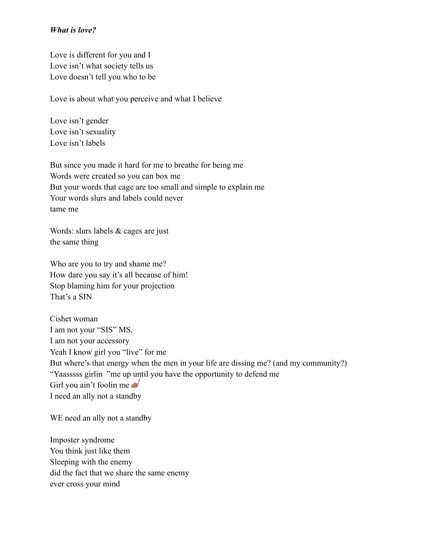## *What is love?*

Love is different for you and I Love isn't what society tells us Love doesn't tell you who to be

Love is about what you perceive and what I believe

Love isn't gender Love isn't sexuality Love isn't labels

But since you made it hard for me to breathe for being me Words were created so you can box me But your words that cage are too small and simple to explain me Your words slurs and labels could never tame me

Words: slurs labels & cages are just the same thing

Who are you to try and shame me? How dare you say it's all because of him! Stop blaming him for your projection That's a SIN

Cishet woman I am not your "SIS" MS. I am not your accessory Yeah I know girl you "live" for me But where's that energy when the men in your life are dissing me? (and my community?) "Yaasssss girlin "me up until you have the opportunity to defend me Girl you ain't foolin me  $\mathscr{B}$ I need an ally not a standby

WE need an ally not a standby

Imposter syndrome You think just like them Sleeping with the enemy did the fact that we share the same enemy ever cross your mind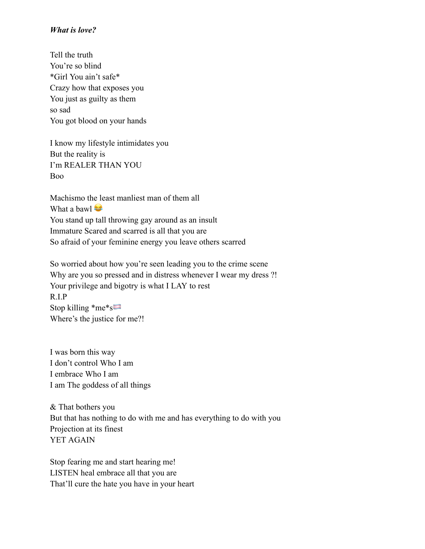## *What is love?*

Tell the truth You're so blind \*Girl You ain't safe\* Crazy how that exposes you You just as guilty as them so sad You got blood on your hands

I know my lifestyle intimidates you But the reality is I'm REALER THAN YOU Boo

Machismo the least manliest man of them all What a bawl You stand up tall throwing gay around as an insult Immature Scared and scarred is all that you are So afraid of your feminine energy you leave others scarred

So worried about how you're seen leading you to the crime scene Why are you so pressed and in distress whenever I wear my dress ?! Your privilege and bigotry is what I LAY to rest R.I.P Stop killing \*me\*s Where's the justice for me?!

I was born this way I don't control Who I am I embrace Who I am I am The goddess of all things

& That bothers you But that has nothing to do with me and has everything to do with you Projection at its finest YET AGAIN

Stop fearing me and start hearing me! LISTEN heal embrace all that you are That'll cure the hate you have in your heart